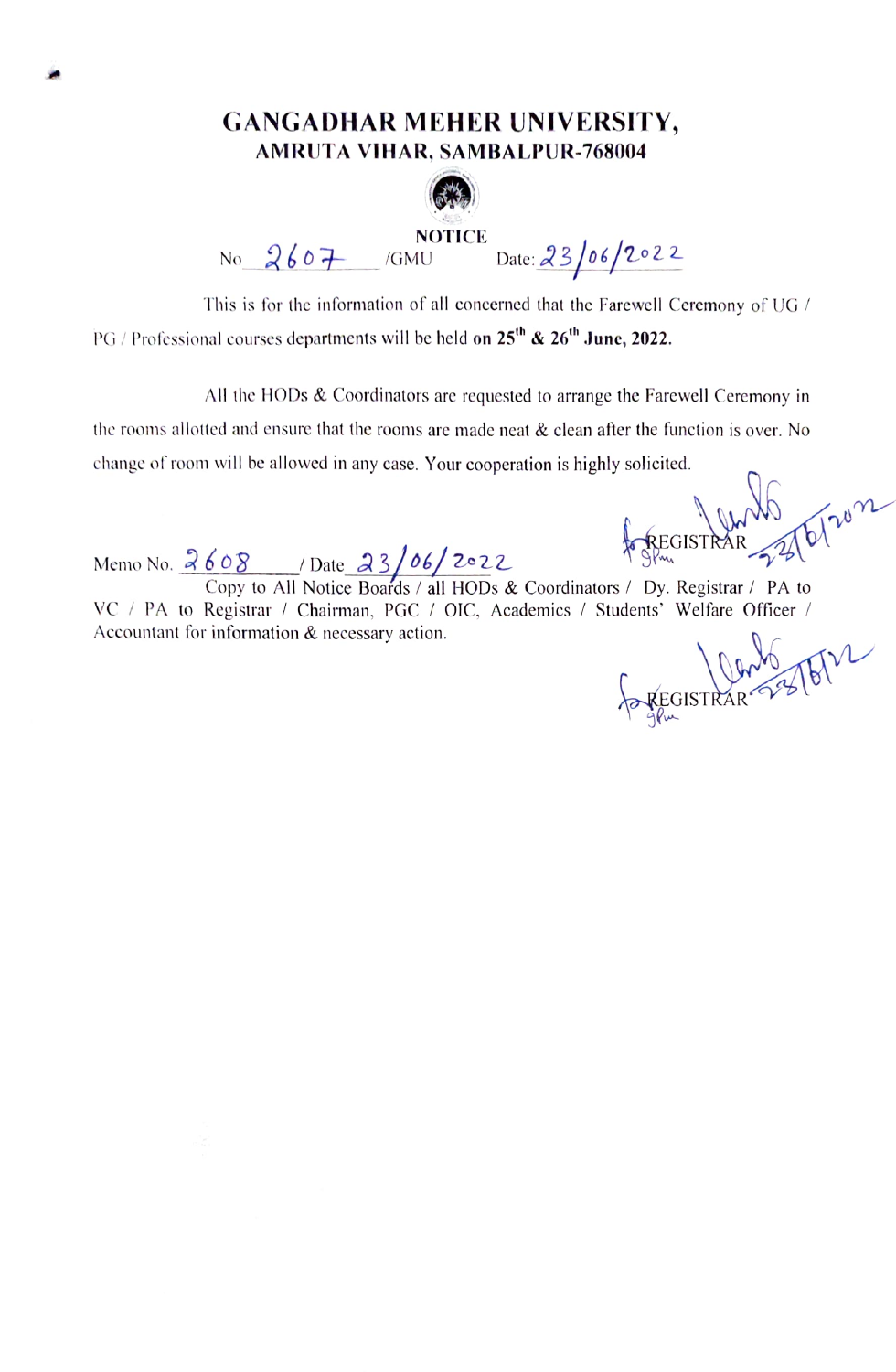## GANGADHAR MEHER UNIVERSITY, AMRUTA VIHAR, SAMBALPUR-768004



NOTICE Date: 23/06/2022

This is for the information of all concerned that the Farewell Ceremony of UG / PG / Professional courses departments will be held on  $25<sup>th</sup>$  &  $26<sup>th</sup>$  June, 2022.

All the HODs & Coordinators are requested to arrange the Farewell Ceremony in the rooms allotted and ensure that the rooms are made neat  $\&$  clean after the function is over. No change of room will be allowed in any case. Your cooperation is highly solicited.

Memo No.  $2608$  / Date  $23/06/2022$  A REGISTRA

Copy to All Notice Boards / all HODs  $&$  Coordinators / Dy. Registrar / PA to VC / PA to Registrar / Chairman, PGC / OIC, Academics / Students' Welfare Officer / Accountant for information & necessary action.

FOREGISTRAR 23/6/12

EGISTRAR